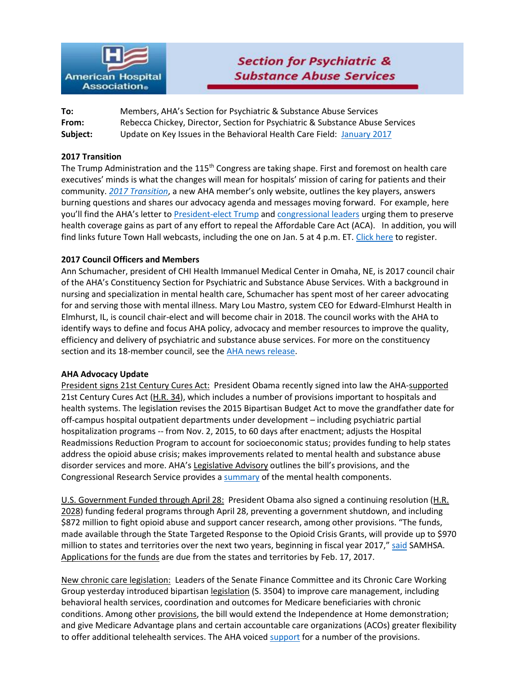

| To:      | Members, AHA's Section for Psychiatric & Substance Abuse Services             |
|----------|-------------------------------------------------------------------------------|
| From:    | Rebecca Chickey, Director, Section for Psychiatric & Substance Abuse Services |
| Subject: | Update on Key Issues in the Behavioral Health Care Field: January 2017        |

#### **2017 Transition**

The Trump Administration and the 115<sup>th</sup> Congress are taking shape. First and foremost on health care executives' minds is what the changes will mean for hospitals' mission of caring for patients and their community. *[2017 Transition](http://www.aha.org/hospital-members/advocacy-issues/initiatives/transition/index.shtml)*, a new AHA member's only website, outlines the key players, answers burning questions and shares our advocacy agenda and messages moving forward. For example, here you'll find the AHA's letter to [President-elect Trump](http://www.aha.org/advocacy-issues/letter/2016/1612-6-aha-fah-trump-healthagenda.pdf) and [congressional leaders](http://www.aha.org/advocacy-issues/letter/2016/161206-let-aha-fah-congress-healthagenda.pdf) urging them to preserve health coverage gains as part of any effort to repeal the Affordable Care Act (ACA). In addition, you will find links future Town Hall webcasts, including the one on Jan. 5 at 4 p.m. ET. [Click here](http://www.aha.org/hospital-members/events/townhall.shtml) to register.

## **2017 Council Officers and Members**

Ann Schumacher, president of CHI Health Immanuel Medical Center in Omaha, NE, is 2017 council chair of the AHA's Constituency Section for Psychiatric and Substance Abuse Services. With a background in nursing and specialization in mental health care, Schumacher has spent most of her career advocating for and serving those with mental illness. Mary Lou Mastro, system CEO for Edward-Elmhurst Health in Elmhurst, IL, is council chair-elect and will become chair in 2018. The council works with the AHA to identify ways to define and focus AHA policy, advocacy and member resources to improve the quality, efficiency and delivery of psychiatric and substance abuse services. For more on the constituency section and its 18-member council, see the [AHA news release.](http://www.aha.org/presscenter/pressrel/2016/170104-pr-psych2017.shtml?utm_source=newsletter&utm_medium=email&utm_campaign=NewsNow)

#### **AHA Advocacy Update**

President signs 21st Century Cures Act: President Obama recently signed into law the AHA[-supported](http://www.aha.org/advocacy-issues/letter/2016/161129-let-nickels-congress-21-century-cures.pdf) 21st Century Cures Act [\(H.R. 34\)](https://www.congress.gov/bill/114th-congress/house-bill/34), which includes a number of provisions important to hospitals and health systems. The legislation revises the 2015 Bipartisan Budget Act to move the grandfather date for off-campus hospital outpatient departments under development – including psychiatric partial hospitalization programs -- from Nov. 2, 2015, to 60 days after enactment; adjusts the Hospital Readmissions Reduction Program to account for socioeconomic status; provides funding to help states address the opioid abuse crisis; makes improvements related to mental health and substance abuse disorder services and more. AHA's [Legislative Advisory](http://www.aha.org/hospital-members/advocacy-issues/tools-resources/advisory/2016/161207-legislative-adv-21st-century-cures.pdf) outlines the bill's provisions, and the Congressional Research Service provides [a summary](http://www.aahd.us/wp-content/uploads/2016/12/CompMHReforminCuresPL114-255CRS12222016.pdf) of the mental health components.

U.S. Government Funded through April 28: President Obama also signed a continuing resolution (H.R. [2028\)](https://www.congress.gov/bill/114th-congress/house-bill/2028) funding federal programs through April 28, preventing a government shutdown, and including \$872 million to fight opioid abuse and support cancer research, among other provisions. "The funds, made available through the State Targeted Response to the Opioid Crisis Grants, will provide up to \$970 million to states and territories over the next two years, beginning in fiscal year 2017," [said](https://www.google.com/url?sa=t&rct=j&q=&esrc=s&source=web&cd=1&cad=rja&uact=8&ved=0ahUKEwjSyNvN3pnRAhXCOCYKHU_xDr4QFggbMAA&url=https%3A%2F%2Fwww.samhsa.gov%2Fnewsroom%2Fpress-announcements%2F201612141015&usg=AFQjCNH96wqcPyoQQZtzotNWg48uMahBUA&sig2=jHSYeqpCLtk9UNcUsyt1zA&bvm=bv.142059868,d.eWE) SAMHSA. [Applications for the funds](https://u2299902.ct.sendgrid.net/wf/click?upn=o7USI7a7lHFgWmKIr6mtveWVJAgst5RabDdZxnnR6e3WCbq-2BD488b37yW7NAjZ1g12CdqrIVat9g-2FmGw7jxfBwzSg-2FWMFuJwn1MFhRcvlaA-3D_DQ9aV0v3voQ-2Fb6k9v6bUu-2BIvexUHRI6qMS3EJYXm01Qb5TREACH2E2C8nDcu8QtDO8-2Fch40ZxM92GNn-2FIEWSnEPTtDmoGukXMJlMm0GETn9GgynJtuCIvEqX7T-2Bg-2BJ9Z2bMp4TqGfUqoj8cWQBDXjV9IfWofXuTvffgEA2XSV0rD1g6uOVSS9N2joAQ-2F2Zlujn8gjBFRZQCv8sc6pscbyFLpR-2B7s8T4FRCXGOnHRcmK5JZAUOQV6q-2F4L4xzY2usOzHrM8IORQhtVgxFIUxVN8dGDIMq9lEfa9SskaoXpJwShDxcO3U9KehKehKmxq8e-2F) are due from the states and territories by Feb. 17, 2017.

New chronic care legislation: Leaders of the Senate Finance Committee and its Chronic Care Working Group yesterday introduced bipartisa[n legislation](http://www.finance.senate.gov/imo/media/doc/CHRONIC%20Care%20Act%20of%202016.pdf) (S. 3504) to improve care management, including behavioral health services, coordination and outcomes for Medicare beneficiaries with chronic conditions. Among other [provisions,](http://www.finance.senate.gov/imo/media/doc/CHRONIC%20Act%20Section-by-Section.pdf) the bill would extend the Independence at Home demonstration; and give Medicare Advantage plans and certain accountable care organizations (ACOs) greater flexibility to offer additional telehealth services. The AHA voiced [support](http://www.aha.org/advocacy-issues/letter/2016/161122-let-chroniccarewg.pdf) for a number of the provisions.